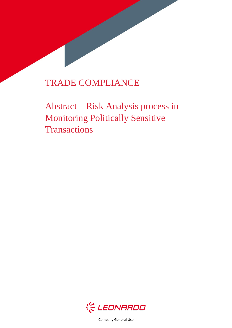# TRADE COMPLIANCE

Abstract – Risk Analysis process in Monitoring Politically Sensitive **Transactions** 



Company General Use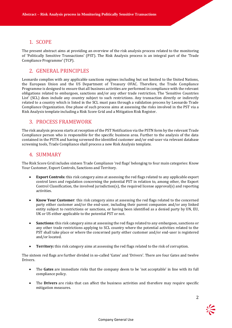### 1. SCOPE

The present abstract aims at providing an overview of the risk analysis process related to the monitoring of 'Politically Sensitive Transactions' (PST). The Risk Analysis process is an integral part of the 'Trade Compliance Programme' (TCP).

### 2. GENERAL PRINCIPLES

Leonardo complies with any applicable sanctions regimes including but not limited to the United Nations, the European Union and the US Department of Treasury OFAC. Therefore, the Trade Compliance Programme is designed to ensure that all business activities are performed in compliance with the relevant obligations related to embargoes, sanctions and/or any other trade restriction. The 'Sensitive Countries List' (SCL) does include any country subject to such restrictions. Any transaction directly or indirectly related to a country which is listed in the SCL must pass through a validation process by Leonardo Trade Compliance Organization. One phase of such process aims at assessing the risks involved in the PST via a Risk Analysis template including a Risk Score Grid and a Mitigation Risk Register.

#### 3. PROCESS FRAMEWORK

The risk analysis process starts at reception of the PST Notification via the PSTN form by the relevant Trade Compliance person who is responsible for the specific business area. Further to the analysis of the data contained in the PSTN and having screened the identified customer and/or end-user via relevant database screening tools, Trade Compliance shall process a new Risk Analysis template.

#### 4. SUMMARY

The Risk Score Grid includes sixteen Trade Compliance 'red flags' belonging to four main categories: Know Your Customer, Export Controls, Sanctions and Territory.

- **Export Controls:** this risk category aims at assessing the red flags related to any applicable export control laws and regulation concerning the potential PST in relation to, among other, the Export Control Classification, the involved jurisdiction(s), the required license approval(s) and reporting activities.
- **Know Your Customer**: this risk category aims at assessing the red flags related to the concerned party either customer and/or the end-user, including their parent companies and/or any linked entity subject to restrictions or sanctions, or having been identified as a denied party by UN, EU, UK or US either applicable to the potential PST or not.
- **Sanctions:** this risk category aims at assessing the red flags related to any embargoes, sanctions or any other trade restrictions applying to SCL country where the potential activities related to the PST shall take place or where the concerned party either customer and/or end-user is registered and/or located.
- **Territory:** this risk category aims at assessing the red flags related to the risk of corruption.

The sixteen red flags are further divided in so-called 'Gates' and 'Drivers'. There are four Gates and twelve Drivers.

- The **Gates** are immediate risks that the company deem to be 'not acceptable' in line with its full compliance policy.
- The **Drivers** are risks that can affect the business activities and therefore may require specific mitigation measures.